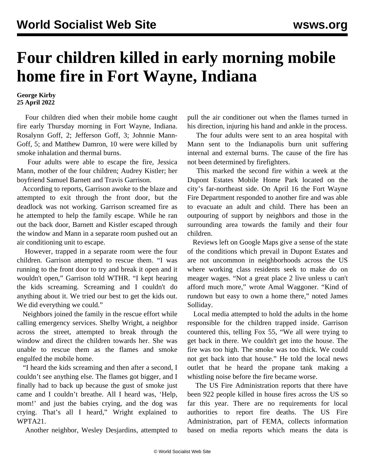## **Four children killed in early morning mobile home fire in Fort Wayne, Indiana**

**George Kirby 25 April 2022**

 Four children died when their mobile home caught fire early Thursday morning in Fort Wayne, Indiana. Rosalynn Goff, 2; Jefferson Goff, 3; Johnnie Mann-Goff, 5; and Matthew Damron, 10 were were killed by smoke inhalation and thermal burns.

 Four adults were able to escape the fire, Jessica Mann, mother of the four children; Audrey Kistler; her boyfriend Samuel Barnett and Travis Garrison.

 According to reports, Garrison awoke to the blaze and attempted to exit through the front door, but the deadlock was not working. Garrison screamed fire as he attempted to help the family escape. While he ran out the back door, Barnett and Kistler escaped through the window and Mann in a separate room pushed out an air conditioning unit to escape.

 However, trapped in a separate room were the four children. Garrison attempted to rescue them. "I was running to the front door to try and break it open and it wouldn't open," Garrison told WTHR. "I kept hearing the kids screaming. Screaming and I couldn't do anything about it. We tried our best to get the kids out. We did everything we could."

 Neighbors joined the family in the rescue effort while calling emergency services. Shelby Wright, a neighbor across the street, attempted to break through the window and direct the children towards her. She was unable to rescue them as the flames and smoke engulfed the mobile home.

 "I heard the kids screaming and then after a second, I couldn't see anything else. The flames got bigger, and I finally had to back up because the gust of smoke just came and I couldn't breathe. All I heard was, 'Help, mom!' and just the babies crying, and the dog was crying. That's all I heard," Wright explained to WPTA21.

Another neighbor, Wesley Desjardins, attempted to

pull the air conditioner out when the flames turned in his direction, injuring his hand and ankle in the process.

 The four adults were sent to an area hospital with Mann sent to the Indianapolis burn unit suffering internal and external burns. The cause of the fire has not been determined by firefighters.

 This marked the second fire within a week at the Dupont Estates Mobile Home Park located on the city's far-northeast side. On April 16 the Fort Wayne Fire Department responded to another fire and was able to evacuate an adult and child. There has been an outpouring of support by neighbors and those in the surrounding area towards the family and their four children.

 Reviews left on Google Maps give a sense of the state of the conditions which prevail in Dupont Estates and are not uncommon in neighborhoods across the US where working class residents seek to make do on meager wages. "Not a great place 2 live unless u can't afford much more," wrote Amal Waggoner. "Kind of rundown but easy to own a home there," noted James Solliday.

 Local media attempted to hold the adults in the home responsible for the children trapped inside. Garrison countered this, telling Fox 55, "We all were trying to get back in there. We couldn't get into the house. The fire was too high. The smoke was too thick. We could not get back into that house." He told the local news outlet that he heard the propane tank making a whistling noise before the fire became worse.

 The US Fire Administration reports that there have been 922 people killed in house fires across the US so far this year. There are no requirements for local authorities to report fire deaths. The US Fire Administration, part of FEMA, collects information based on media reports which means the data is